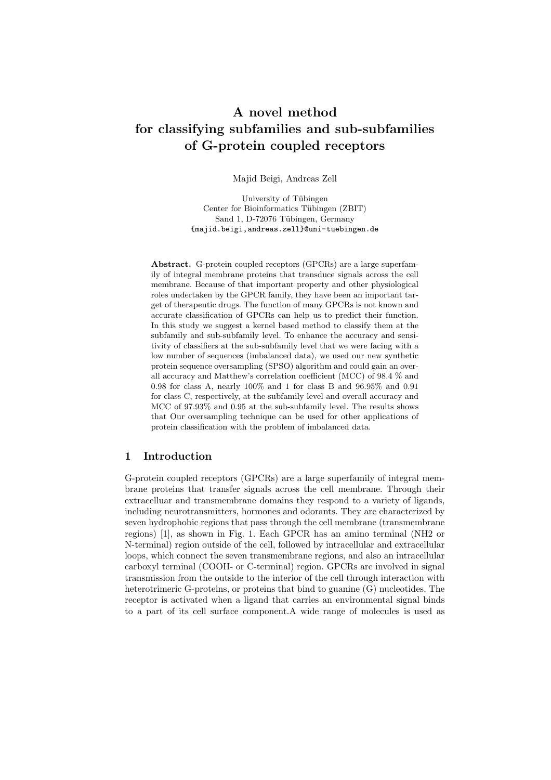# A novel method for classifying subfamilies and sub-subfamilies of G-protein coupled receptors

Majid Beigi, Andreas Zell

University of Tübingen Center for Bioinformatics Tübingen (ZBIT) Sand 1, D-72076 Tübingen, Germany {majid.beigi,andreas.zell}@uni-tuebingen.de

Abstract. G-protein coupled receptors (GPCRs) are a large superfamily of integral membrane proteins that transduce signals across the cell membrane. Because of that important property and other physiological roles undertaken by the GPCR family, they have been an important target of therapeutic drugs. The function of many GPCRs is not known and accurate classification of GPCRs can help us to predict their function. In this study we suggest a kernel based method to classify them at the subfamily and sub-subfamily level. To enhance the accuracy and sensitivity of classifiers at the sub-subfamily level that we were facing with a low number of sequences (imbalanced data), we used our new synthetic protein sequence oversampling (SPSO) algorithm and could gain an overall accuracy and Matthew's correlation coefficient (MCC) of 98.4 % and 0.98 for class A, nearly 100% and 1 for class B and 96.95% and 0.91 for class C, respectively, at the subfamily level and overall accuracy and MCC of 97.93% and 0.95 at the sub-subfamily level. The results shows that Our oversampling technique can be used for other applications of protein classification with the problem of imbalanced data.

## 1 Introduction

G-protein coupled receptors (GPCRs) are a large superfamily of integral membrane proteins that transfer signals across the cell membrane. Through their extracelluar and transmembrane domains they respond to a variety of ligands, including neurotransmitters, hormones and odorants. They are characterized by seven hydrophobic regions that pass through the cell membrane (transmembrane regions) [1], as shown in Fig. 1. Each GPCR has an amino terminal (NH2 or N-terminal) region outside of the cell, followed by intracellular and extracellular loops, which connect the seven transmembrane regions, and also an intracellular carboxyl terminal (COOH- or C-terminal) region. GPCRs are involved in signal transmission from the outside to the interior of the cell through interaction with heterotrimeric G-proteins, or proteins that bind to guanine (G) nucleotides. The receptor is activated when a ligand that carries an environmental signal binds to a part of its cell surface component.A wide range of molecules is used as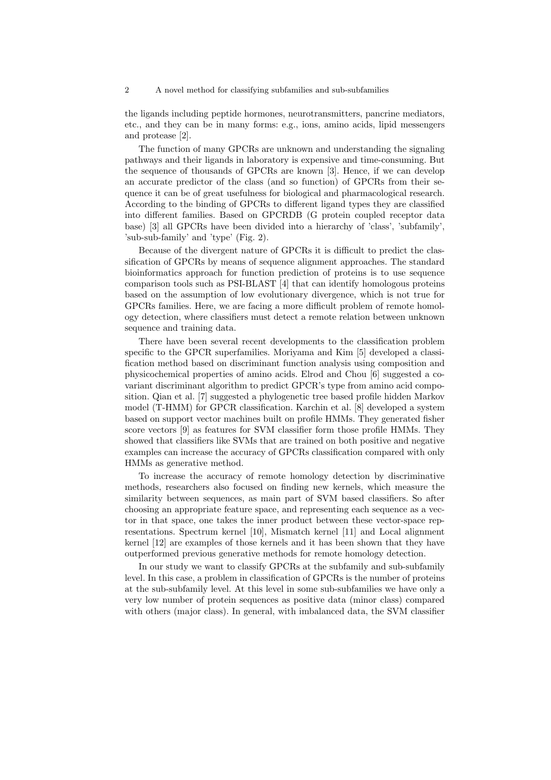2 A novel method for classifying subfamilies and sub-subfamilies

the ligands including peptide hormones, neurotransmitters, pancrine mediators, etc., and they can be in many forms: e.g., ions, amino acids, lipid messengers and protease [2].

The function of many GPCRs are unknown and understanding the signaling pathways and their ligands in laboratory is expensive and time-consuming. But the sequence of thousands of GPCRs are known [3]. Hence, if we can develop an accurate predictor of the class (and so function) of GPCRs from their sequence it can be of great usefulness for biological and pharmacological research. According to the binding of GPCRs to different ligand types they are classified into different families. Based on GPCRDB (G protein coupled receptor data base) [3] all GPCRs have been divided into a hierarchy of 'class', 'subfamily', 'sub-sub-family' and 'type' (Fig. 2).

Because of the divergent nature of GPCRs it is difficult to predict the classification of GPCRs by means of sequence alignment approaches. The standard bioinformatics approach for function prediction of proteins is to use sequence comparison tools such as PSI-BLAST [4] that can identify homologous proteins based on the assumption of low evolutionary divergence, which is not true for GPCRs families. Here, we are facing a more difficult problem of remote homology detection, where classifiers must detect a remote relation between unknown sequence and training data.

There have been several recent developments to the classification problem specific to the GPCR superfamilies. Moriyama and Kim [5] developed a classification method based on discriminant function analysis using composition and physicochemical properties of amino acids. Elrod and Chou [6] suggested a covariant discriminant algorithm to predict GPCR's type from amino acid composition. Qian et al. [7] suggested a phylogenetic tree based profile hidden Markov model (T-HMM) for GPCR classification. Karchin et al. [8] developed a system based on support vector machines built on profile HMMs. They generated fisher score vectors [9] as features for SVM classifier form those profile HMMs. They showed that classifiers like SVMs that are trained on both positive and negative examples can increase the accuracy of GPCRs classification compared with only HMMs as generative method.

To increase the accuracy of remote homology detection by discriminative methods, researchers also focused on finding new kernels, which measure the similarity between sequences, as main part of SVM based classifiers. So after choosing an appropriate feature space, and representing each sequence as a vector in that space, one takes the inner product between these vector-space representations. Spectrum kernel [10], Mismatch kernel [11] and Local alignment kernel [12] are examples of those kernels and it has been shown that they have outperformed previous generative methods for remote homology detection.

In our study we want to classify GPCRs at the subfamily and sub-subfamily level. In this case, a problem in classification of GPCRs is the number of proteins at the sub-subfamily level. At this level in some sub-subfamilies we have only a very low number of protein sequences as positive data (minor class) compared with others (major class). In general, with imbalanced data, the SVM classifier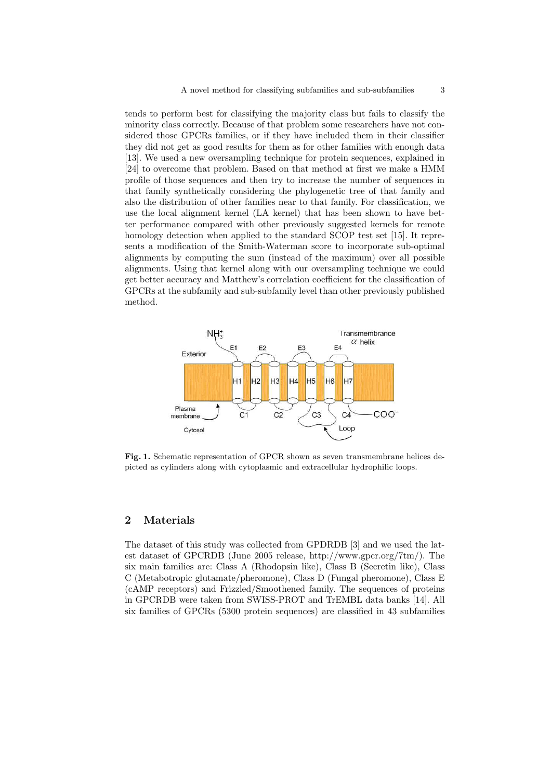tends to perform best for classifying the majority class but fails to classify the minority class correctly. Because of that problem some researchers have not considered those GPCRs families, or if they have included them in their classifier they did not get as good results for them as for other families with enough data [13]. We used a new oversampling technique for protein sequences, explained in [24] to overcome that problem. Based on that method at first we make a HMM profile of those sequences and then try to increase the number of sequences in that family synthetically considering the phylogenetic tree of that family and also the distribution of other families near to that family. For classification, we use the local alignment kernel (LA kernel) that has been shown to have better performance compared with other previously suggested kernels for remote homology detection when applied to the standard SCOP test set [15]. It represents a modification of the Smith-Waterman score to incorporate sub-optimal alignments by computing the sum (instead of the maximum) over all possible alignments. Using that kernel along with our oversampling technique we could get better accuracy and Matthew's correlation coefficient for the classification of GPCRs at the subfamily and sub-subfamily level than other previously published method.



Fig. 1. Schematic representation of GPCR shown as seven transmembrane helices depicted as cylinders along with cytoplasmic and extracellular hydrophilic loops.

### 2 Materials

The dataset of this study was collected from GPDRDB [3] and we used the latest dataset of GPCRDB (June 2005 release, http://www.gpcr.org/7tm/). The six main families are: Class A (Rhodopsin like), Class B (Secretin like), Class C (Metabotropic glutamate/pheromone), Class D (Fungal pheromone), Class E (cAMP receptors) and Frizzled/Smoothened family. The sequences of proteins in GPCRDB were taken from SWISS-PROT and TrEMBL data banks [14]. All six families of GPCRs (5300 protein sequences) are classified in 43 subfamilies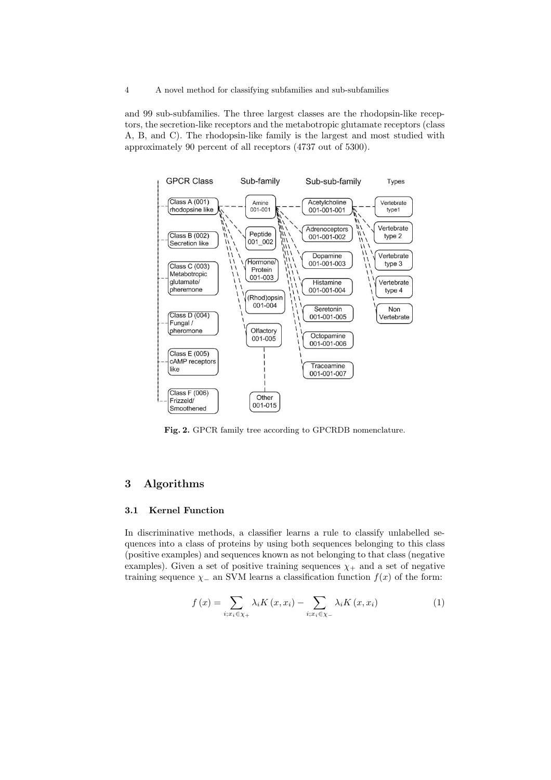and 99 sub-subfamilies. The three largest classes are the rhodopsin-like receptors, the secretion-like receptors and the metabotropic glutamate receptors (class A, B, and C). The rhodopsin-like family is the largest and most studied with approximately 90 percent of all receptors (4737 out of 5300).



Fig. 2. GPCR family tree according to GPCRDB nomenclature.

# 3 Algorithms

#### 3.1 Kernel Function

In discriminative methods, a classifier learns a rule to classify unlabelled sequences into a class of proteins by using both sequences belonging to this class (positive examples) and sequences known as not belonging to that class (negative examples). Given a set of positive training sequences  $\chi_{+}$  and a set of negative training sequence  $\chi$  an SVM learns a classification function  $f(x)$  of the form:

$$
f(x) = \sum_{i; x_i \in \chi_+} \lambda_i K(x, x_i) - \sum_{i; x_i \in \chi_-} \lambda_i K(x, x_i)
$$
 (1)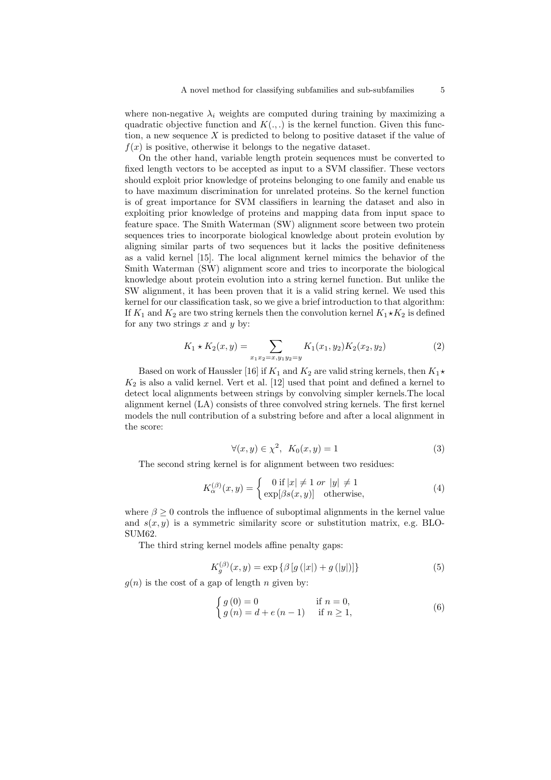where non-negative  $\lambda_i$  weights are computed during training by maximizing a quadratic objective function and  $K(.,.)$  is the kernel function. Given this function, a new sequence  $X$  is predicted to belong to positive dataset if the value of  $f(x)$  is positive, otherwise it belongs to the negative dataset.

On the other hand, variable length protein sequences must be converted to fixed length vectors to be accepted as input to a SVM classifier. These vectors should exploit prior knowledge of proteins belonging to one family and enable us to have maximum discrimination for unrelated proteins. So the kernel function is of great importance for SVM classifiers in learning the dataset and also in exploiting prior knowledge of proteins and mapping data from input space to feature space. The Smith Waterman (SW) alignment score between two protein sequences tries to incorporate biological knowledge about protein evolution by aligning similar parts of two sequences but it lacks the positive definiteness as a valid kernel [15]. The local alignment kernel mimics the behavior of the Smith Waterman (SW) alignment score and tries to incorporate the biological knowledge about protein evolution into a string kernel function. But unlike the SW alignment, it has been proven that it is a valid string kernel. We used this kernel for our classification task, so we give a brief introduction to that algorithm: If  $K_1$  and  $K_2$  are two string kernels then the convolution kernel  $K_1 \star K_2$  is defined for any two strings  $x$  and  $y$  by:

$$
K_1 \star K_2(x, y) = \sum_{x_1 x_2 = x, y_1 y_2 = y} K_1(x_1, y_2) K_2(x_2, y_2)
$$
 (2)

Based on work of Haussler [16] if  $K_1$  and  $K_2$  are valid string kernels, then  $K_1\star$  $K_2$  is also a valid kernel. Vert et al. [12] used that point and defined a kernel to detect local alignments between strings by convolving simpler kernels.The local alignment kernel (LA) consists of three convolved string kernels. The first kernel models the null contribution of a substring before and after a local alignment in the score:

$$
\forall (x, y) \in \chi^2, \ K_0(x, y) = 1 \tag{3}
$$

The second string kernel is for alignment between two residues:

$$
K_{\alpha}^{(\beta)}(x,y) = \begin{cases} 0 \text{ if } |x| \neq 1 \text{ or } |y| \neq 1\\ \exp[\beta s(x,y)] \text{ otherwise,} \end{cases}
$$
(4)

where  $\beta \geq 0$  controls the influence of suboptimal alignments in the kernel value and  $s(x, y)$  is a symmetric similarity score or substitution matrix, e.g. BLO-SUM62.

The third string kernel models affine penalty gaps:

$$
K_g^{(\beta)}(x, y) = \exp \{ \beta \left[ g(|x|) + g(|y|) \right] \} \tag{5}
$$

 $q(n)$  is the cost of a gap of length n given by:

$$
\begin{cases}\ng(0) = 0 & \text{if } n = 0, \\
g(n) = d + e(n - 1) & \text{if } n \ge 1,\n\end{cases}
$$
\n(6)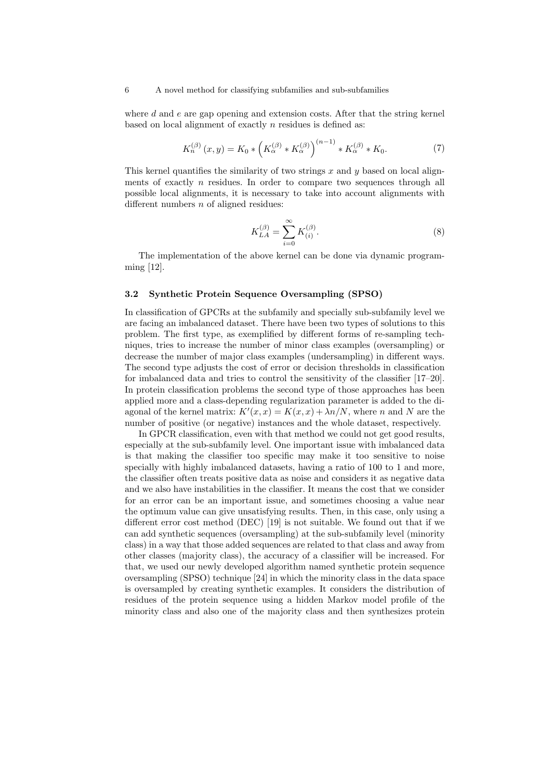where  $d$  and  $e$  are gap opening and extension costs. After that the string kernel based on local alignment of exactly  $n$  residues is defined as:

$$
K_n^{(\beta)}(x,y) = K_0 * \left( K_\alpha^{(\beta)} * K_\alpha^{(\beta)} \right)^{(n-1)} * K_\alpha^{(\beta)} * K_0.
$$
 (7)

This kernel quantifies the similarity of two strings  $x$  and  $y$  based on local alignments of exactly  $n$  residues. In order to compare two sequences through all possible local alignments, it is necessary to take into account alignments with different numbers  $n$  of aligned residues:

$$
K_{LA}^{(\beta)} = \sum_{i=0}^{\infty} K_{(i)}^{(\beta)}.
$$
 (8)

The implementation of the above kernel can be done via dynamic programming [12].

#### 3.2 Synthetic Protein Sequence Oversampling (SPSO)

In classification of GPCRs at the subfamily and specially sub-subfamily level we are facing an imbalanced dataset. There have been two types of solutions to this problem. The first type, as exemplified by different forms of re-sampling techniques, tries to increase the number of minor class examples (oversampling) or decrease the number of major class examples (undersampling) in different ways. The second type adjusts the cost of error or decision thresholds in classification for imbalanced data and tries to control the sensitivity of the classifier [17–20]. In protein classification problems the second type of those approaches has been applied more and a class-depending regularization parameter is added to the diagonal of the kernel matrix:  $K'(x, x) = K(x, x) + \lambda n/N$ , where n and N are the number of positive (or negative) instances and the whole dataset, respectively.

In GPCR classification, even with that method we could not get good results, especially at the sub-subfamily level. One important issue with imbalanced data is that making the classifier too specific may make it too sensitive to noise specially with highly imbalanced datasets, having a ratio of 100 to 1 and more, the classifier often treats positive data as noise and considers it as negative data and we also have instabilities in the classifier. It means the cost that we consider for an error can be an important issue, and sometimes choosing a value near the optimum value can give unsatisfying results. Then, in this case, only using a different error cost method (DEC) [19] is not suitable. We found out that if we can add synthetic sequences (oversampling) at the sub-subfamily level (minority class) in a way that those added sequences are related to that class and away from other classes (majority class), the accuracy of a classifier will be increased. For that, we used our newly developed algorithm named synthetic protein sequence oversampling (SPSO) technique [24] in which the minority class in the data space is oversampled by creating synthetic examples. It considers the distribution of residues of the protein sequence using a hidden Markov model profile of the minority class and also one of the majority class and then synthesizes protein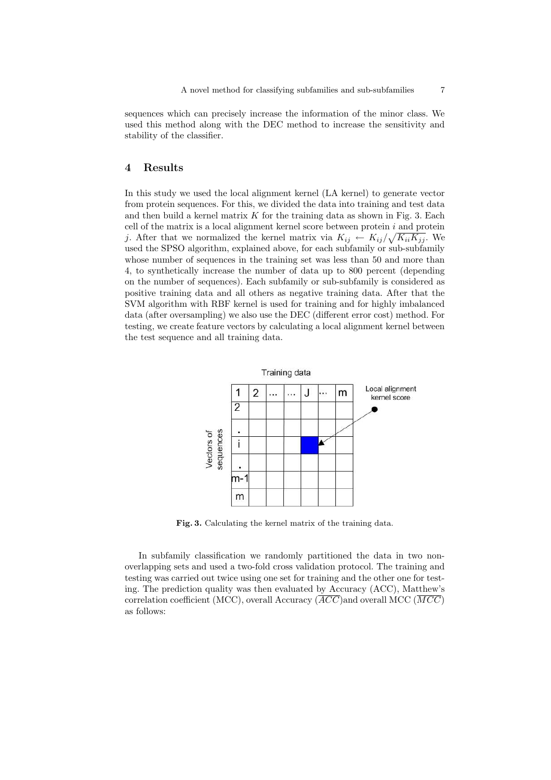sequences which can precisely increase the information of the minor class. We used this method along with the DEC method to increase the sensitivity and stability of the classifier.

## 4 Results

In this study we used the local alignment kernel (LA kernel) to generate vector from protein sequences. For this, we divided the data into training and test data and then build a kernel matrix  $K$  for the training data as shown in Fig. 3. Each cell of the matrix is a local alignment kernel score between protein  $i$  and protein j. After that we normalized the kernel matrix via  $K_{ij} \leftarrow K_{ij}/\sqrt{K_{ii}K_{jj}}$ . We used the SPSO algorithm, explained above, for each subfamily or sub-subfamily whose number of sequences in the training set was less than 50 and more than 4, to synthetically increase the number of data up to 800 percent (depending on the number of sequences). Each subfamily or sub-subfamily is considered as positive training data and all others as negative training data. After that the SVM algorithm with RBF kernel is used for training and for highly imbalanced data (after oversampling) we also use the DEC (different error cost) method. For testing, we create feature vectors by calculating a local alignment kernel between the test sequence and all training data.



Fig. 3. Calculating the kernel matrix of the training data.

In subfamily classification we randomly partitioned the data in two nonoverlapping sets and used a two-fold cross validation protocol. The training and testing was carried out twice using one set for training and the other one for testing. The prediction quality was then evaluated by Accuracy (ACC), Matthew's correlation coefficient (MCC), overall Accuracy  $\overline{ACC}$  and overall MCC  $\overline{MCC}$ as follows: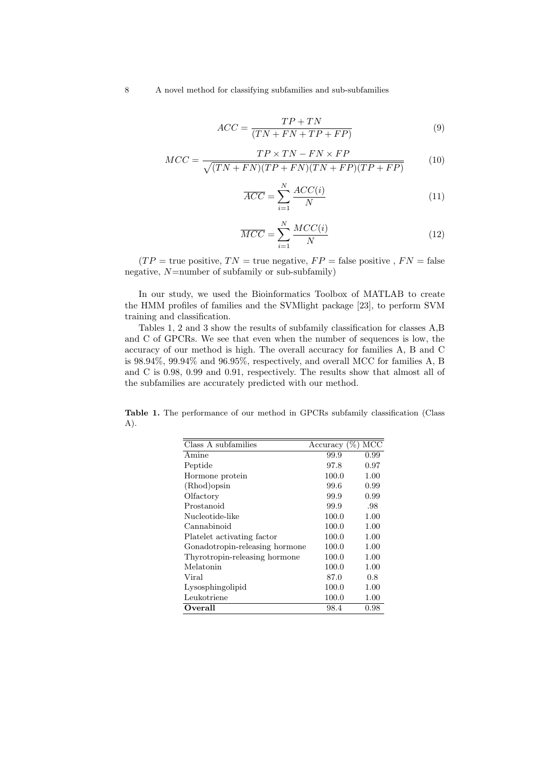8 A novel method for classifying subfamilies and sub-subfamilies

$$
ACC = \frac{TP + TN}{(TN + FN + TP + FP)}
$$
\n(9)

$$
MCC = \frac{TP \times TN - FN \times FP}{\sqrt{(TN + FN)(TP + FN)(TN + FP)(TP + FP)}}
$$
(10)

$$
\overline{ACC} = \sum_{i=1}^{N} \frac{ACC(i)}{N} \tag{11}
$$

$$
\overline{MCC} = \sum_{i=1}^{N} \frac{MCC(i)}{N}
$$
\n(12)

 $(TP = \text{true positive}, TN = \text{true negative}, FP = \text{false positive}, FN = \text{false}$ negative,  $N$ =number of subfamily or sub-subfamily)

In our study, we used the Bioinformatics Toolbox of MATLAB to create the HMM profiles of families and the SVMlight package [23], to perform SVM training and classification.

Tables 1, 2 and 3 show the results of subfamily classification for classes A,B and C of GPCRs. We see that even when the number of sequences is low, the accuracy of our method is high. The overall accuracy for families A, B and C is 98.94%, 99.94% and 96.95%, respectively, and overall MCC for families A, B and C is 0.98, 0.99 and 0.91, respectively. The results show that almost all of the subfamilies are accurately predicted with our method.

Table 1. The performance of our method in GPCRs subfamily classification (Class A).

| Class A subfamilies            |       | Accuracy $(\%)$ MCC |
|--------------------------------|-------|---------------------|
| Amine                          | 99.9  | 0.99                |
| Peptide                        | 97.8  | 0.97                |
| Hormone protein                | 100.0 | 1.00                |
| (Rhod)opsin                    | 99.6  | 0.99                |
| Olfactory                      | 99.9  | 0.99                |
| Prostanoid                     | 99.9  | .98                 |
| Nucleotide-like                | 100.0 | 1.00                |
| Cannabinoid                    | 100.0 | 1.00                |
| Platelet activating factor     | 100.0 | 1.00                |
| Gonadotropin-releasing hormone | 100.0 | 1.00                |
| Thyrotropin-releasing hormone  | 100.0 | 1.00                |
| Melatonin                      | 100.0 | 1.00                |
| Viral                          | 87.0  | 0.8                 |
| Lysosphingolipid               | 100.0 | 1.00                |
| Leukotriene                    | 100.0 | 1.00                |
| Overall                        | 98.4  | 0.98                |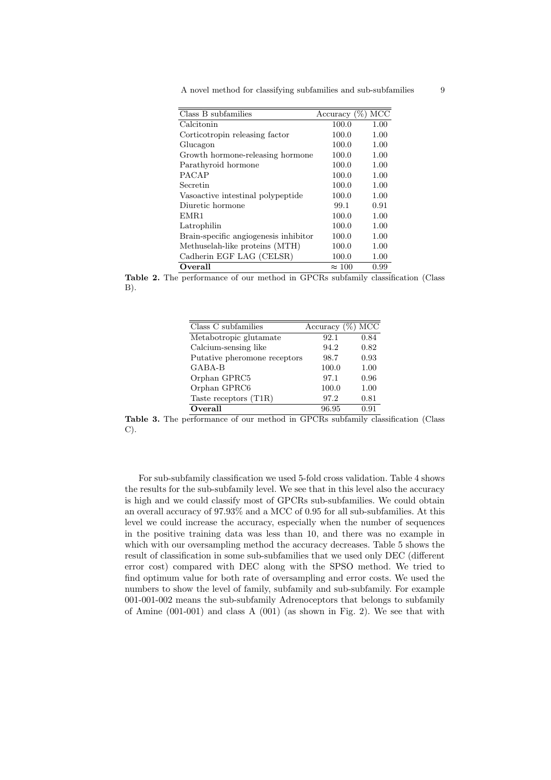A novel method for classifying subfamilies and sub-subfamilies 9

| Class B subfamilies                   | Accuracy $(\%)$ MCC |      |
|---------------------------------------|---------------------|------|
| Calcitonin                            | 100.0               | 1.00 |
| Corticotropin releasing factor        | 100.0               | 1.00 |
| Glucagon                              | 100.0               | 1.00 |
| Growth hormone-releasing hormone      | 100.0               | 1.00 |
| Parathyroid hormone                   | 100.0               | 1.00 |
| <b>PACAP</b>                          | 100.0               | 1.00 |
| Secretin                              | 100.0               | 1.00 |
| Vaso active intestinal polypeptide    | 100.0               | 1.00 |
| Diuretic hormone                      | 99.1                | 0.91 |
| EMR1                                  | 100.0               | 1.00 |
| Latrophilin                           | 100.0               | 1.00 |
| Brain-specific angiogenesis inhibitor | 100.0               | 1.00 |
| Methuselah-like proteins (MTH)        | 100.0               | 1.00 |
| Cadherin EGF LAG (CELSR)              | 100.0               | 1.00 |
| Overall                               | $\approx 100$       | 0.99 |

Table 2. The performance of our method in GPCRs subfamily classification (Class B).

| Class C subfamilies          | Accuracy | $(\%)$ MCC |
|------------------------------|----------|------------|
| Metabotropic glutamate       | 92.1     | 0.84       |
| Calcium-sensing like         | 94.2     | 0.82       |
| Putative pheromone receptors | 98.7     | 0.93       |
| GABA-B                       | 100.0    | 1.00       |
| Orphan GPRC5                 | 97.1     | 0.96       |
| Orphan GPRC6                 | 100.0    | 1.00       |
| Taste receptors (T1R)        | 97.2     | 0.81       |
| Overall                      | 96.95    | 0.91       |

Table 3. The performance of our method in GPCRs subfamily classification (Class C).

For sub-subfamily classification we used 5-fold cross validation. Table 4 shows the results for the sub-subfamily level. We see that in this level also the accuracy is high and we could classify most of GPCRs sub-subfamilies. We could obtain an overall accuracy of 97.93% and a MCC of 0.95 for all sub-subfamilies. At this level we could increase the accuracy, especially when the number of sequences in the positive training data was less than 10, and there was no example in which with our oversampling method the accuracy decreases. Table 5 shows the result of classification in some sub-subfamilies that we used only DEC (different error cost) compared with DEC along with the SPSO method. We tried to find optimum value for both rate of oversampling and error costs. We used the numbers to show the level of family, subfamily and sub-subfamily. For example 001-001-002 means the sub-subfamily Adrenoceptors that belongs to subfamily of Amine (001-001) and class A (001) (as shown in Fig. 2). We see that with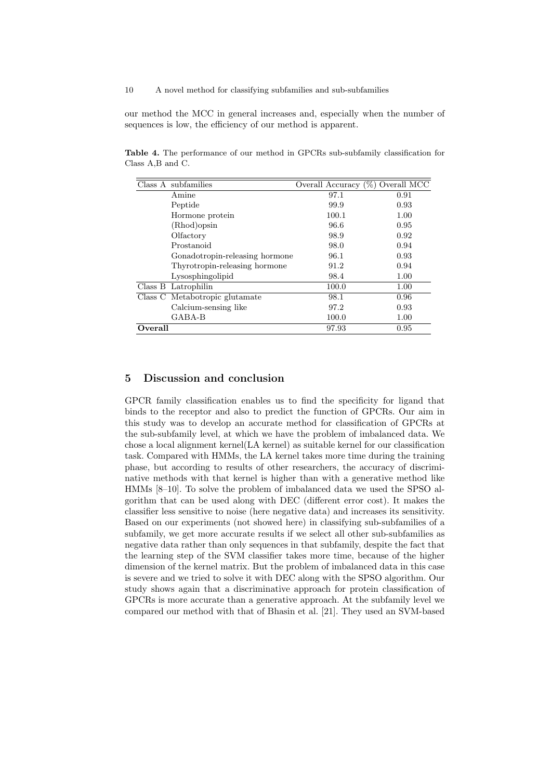10 A novel method for classifying subfamilies and sub-subfamilies

our method the MCC in general increases and, especially when the number of sequences is low, the efficiency of our method is apparent.

Table 4. The performance of our method in GPCRs sub-subfamily classification for Class A,B and C.

| Class A subfamilies            | Overall Accuracy (%) Overall MCC |      |
|--------------------------------|----------------------------------|------|
| Amine                          | 97.1                             | 0.91 |
| Peptide                        | 99.9                             | 0.93 |
| Hormone protein                | 100.1                            | 1.00 |
| (Rhod) opsin                   | 96.6                             | 0.95 |
| Olfactory                      | 98.9                             | 0.92 |
| Prostanoid                     | 98.0                             | 0.94 |
| Gonadotropin-releasing hormone | 96.1                             | 0.93 |
| Thyrotropin-releasing hormone  | 91.2                             | 0.94 |
| Lysosphingolipid               | 98.4                             | 1.00 |
| Class B Latrophilin            | 100.0                            | 1.00 |
| Class C Metabotropic glutamate | 98.1                             | 0.96 |
| Calcium-sensing like           | 97.2                             | 0.93 |
| GABA-B                         | 100.0                            | 1.00 |
| Overall                        | 97.93                            | 0.95 |

## 5 Discussion and conclusion

GPCR family classification enables us to find the specificity for ligand that binds to the receptor and also to predict the function of GPCRs. Our aim in this study was to develop an accurate method for classification of GPCRs at the sub-subfamily level, at which we have the problem of imbalanced data. We chose a local alignment kernel(LA kernel) as suitable kernel for our classification task. Compared with HMMs, the LA kernel takes more time during the training phase, but according to results of other researchers, the accuracy of discriminative methods with that kernel is higher than with a generative method like HMMs [8–10]. To solve the problem of imbalanced data we used the SPSO algorithm that can be used along with DEC (different error cost). It makes the classifier less sensitive to noise (here negative data) and increases its sensitivity. Based on our experiments (not showed here) in classifying sub-subfamilies of a subfamily, we get more accurate results if we select all other sub-subfamilies as negative data rather than only sequences in that subfamily, despite the fact that the learning step of the SVM classifier takes more time, because of the higher dimension of the kernel matrix. But the problem of imbalanced data in this case is severe and we tried to solve it with DEC along with the SPSO algorithm. Our study shows again that a discriminative approach for protein classification of GPCRs is more accurate than a generative approach. At the subfamily level we compared our method with that of Bhasin et al. [21]. They used an SVM-based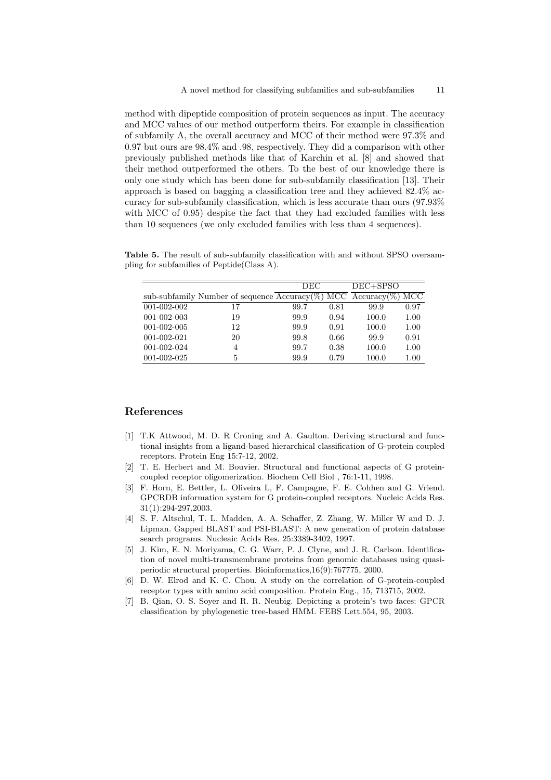method with dipeptide composition of protein sequences as input. The accuracy and MCC values of our method outperform theirs. For example in classification of subfamily A, the overall accuracy and MCC of their method were 97.3% and 0.97 but ours are 98.4% and .98, respectively. They did a comparison with other previously published methods like that of Karchin et al. [8] and showed that their method outperformed the others. To the best of our knowledge there is only one study which has been done for sub-subfamily classification [13]. Their approach is based on bagging a classification tree and they achieved 82.4% accuracy for sub-subfamily classification, which is less accurate than ours (97.93% with MCC of 0.95) despite the fact that they had excluded families with less than 10 sequences (we only excluded families with less than 4 sequences).

Table 5. The result of sub-subfamily classification with and without SPSO oversampling for subfamilies of Peptide(Class A).

|             |                                                 | <b>DEC</b> |      |                   |          |
|-------------|-------------------------------------------------|------------|------|-------------------|----------|
|             |                                                 |            |      | DEC+SPSO          |          |
|             | sub-subfamily Number of sequence $Accuracy(\%)$ |            |      | $MCC$ Accuracy(%) | MCC      |
| 001-002-002 | 17                                              | 99.7       | 0.81 | 99.9              | 0.97     |
| 001-002-003 | 19                                              | 99.9       | 0.94 | 100.0             | 1.00     |
| 001-002-005 | 12                                              | 99.9       | 0.91 | 100.0             | 1.00     |
| 001-002-021 | 20                                              | 99.8       | 0.66 | 99.9              | 0.91     |
| 001-002-024 | 4                                               | 99.7       | 0.38 | 100.0             | 1.00     |
| 001-002-025 | 5                                               | 99.9       | 0.79 | 100.0             | $1.00\,$ |

## References

- [1] T.K Attwood, M. D. R Croning and A. Gaulton. Deriving structural and functional insights from a ligand-based hierarchical classification of G-protein coupled receptors. Protein Eng 15:7-12, 2002.
- [2] T. E. Herbert and M. Bouvier. Structural and functional aspects of G proteincoupled receptor oligomerization. Biochem Cell Biol , 76:1-11, 1998.
- [3] F. Horn, E. Bettler, L. Oliveira L, F. Campagne, F. E. Cohhen and G. Vriend. GPCRDB information system for G protein-coupled receptors. Nucleic Acids Res. 31(1):294-297,2003.
- [4] S. F. Altschul, T. L. Madden, A. A. Schaffer, Z. Zhang, W. Miller W and D. J. Lipman. Gapped BLAST and PSI-BLAST: A new generation of protein database search programs. Nucleaic Acids Res. 25:3389-3402, 1997.
- [5] J. Kim, E. N. Moriyama, C. G. Warr, P. J. Clyne, and J. R. Carlson. Identification of novel multi-transmembrane proteins from genomic databases using quasiperiodic structural properties. Bioinformatics,16(9):767775, 2000.
- [6] D. W. Elrod and K. C. Chou. A study on the correlation of G-protein-coupled receptor types with amino acid composition. Protein Eng., 15, 713715, 2002.
- [7] B. Qian, O. S. Soyer and R. R. Neubig. Depicting a protein's two faces: GPCR classification by phylogenetic tree-based HMM. FEBS Lett.554, 95, 2003.